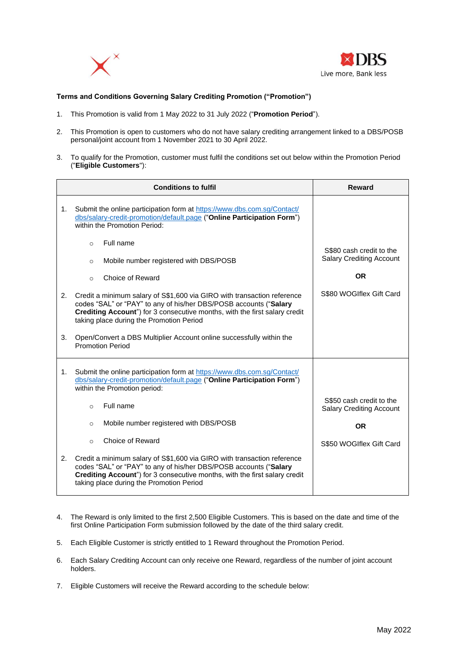



## **Terms and Conditions Governing Salary Crediting Promotion ("Promotion")**

- 1. This Promotion is valid from 1 May 2022 to 31 July 2022 ("**Promotion Period**").
- 2. This Promotion is open to customers who do not have salary crediting arrangement linked to a DBS/POSB personal/joint account from 1 November 2021 to 30 April 2022.
- 3. To qualify for the Promotion, customer must fulfil the conditions set out below within the Promotion Period ("**Eligible Customers**"):

|    | <b>Conditions to fulfil</b>                                                                                                                                                                                                                                            | Reward                                                      |
|----|------------------------------------------------------------------------------------------------------------------------------------------------------------------------------------------------------------------------------------------------------------------------|-------------------------------------------------------------|
| 1. | Submit the online participation form at https://www.dbs.com.sg/Contact/<br>dbs/salary-credit-promotion/default.page ("Online Participation Form")<br>within the Promotion Period:                                                                                      |                                                             |
|    | Full name<br>$\circ$                                                                                                                                                                                                                                                   |                                                             |
|    | Mobile number registered with DBS/POSB<br>$\circ$                                                                                                                                                                                                                      | S\$80 cash credit to the<br><b>Salary Crediting Account</b> |
|    | Choice of Reward<br>$\circ$                                                                                                                                                                                                                                            | <b>OR</b>                                                   |
| 2. | Credit a minimum salary of S\$1,600 via GIRO with transaction reference<br>codes "SAL" or "PAY" to any of his/her DBS/POSB accounts ("Salary<br>Crediting Account") for 3 consecutive months, with the first salary credit<br>taking place during the Promotion Period | S\$80 WOGIflex Gift Card                                    |
| 3. | Open/Convert a DBS Multiplier Account online successfully within the<br><b>Promotion Period</b>                                                                                                                                                                        |                                                             |
| 1. | Submit the online participation form at https://www.dbs.com.sg/Contact/<br>dbs/salary-credit-promotion/default.page ("Online Participation Form")<br>within the Promotion period:                                                                                      |                                                             |
|    | Full name<br>$\Omega$                                                                                                                                                                                                                                                  | S\$50 cash credit to the<br><b>Salary Crediting Account</b> |
|    | Mobile number registered with DBS/POSB<br>$\circ$                                                                                                                                                                                                                      | <b>OR</b>                                                   |
|    | Choice of Reward<br>$\Omega$                                                                                                                                                                                                                                           | S\$50 WOGIflex Gift Card                                    |
| 2. | Credit a minimum salary of S\$1,600 via GIRO with transaction reference<br>codes "SAL" or "PAY" to any of his/her DBS/POSB accounts ("Salary<br>Crediting Account") for 3 consecutive months, with the first salary credit<br>taking place during the Promotion Period |                                                             |

- 4. The Reward is only limited to the first 2,500 Eligible Customers. This is based on the date and time of the first Online Participation Form submission followed by the date of the third salary credit.
- 5. Each Eligible Customer is strictly entitled to 1 Reward throughout the Promotion Period.
- 6. Each Salary Crediting Account can only receive one Reward, regardless of the number of joint account holders.
- 7. Eligible Customers will receive the Reward according to the schedule below: